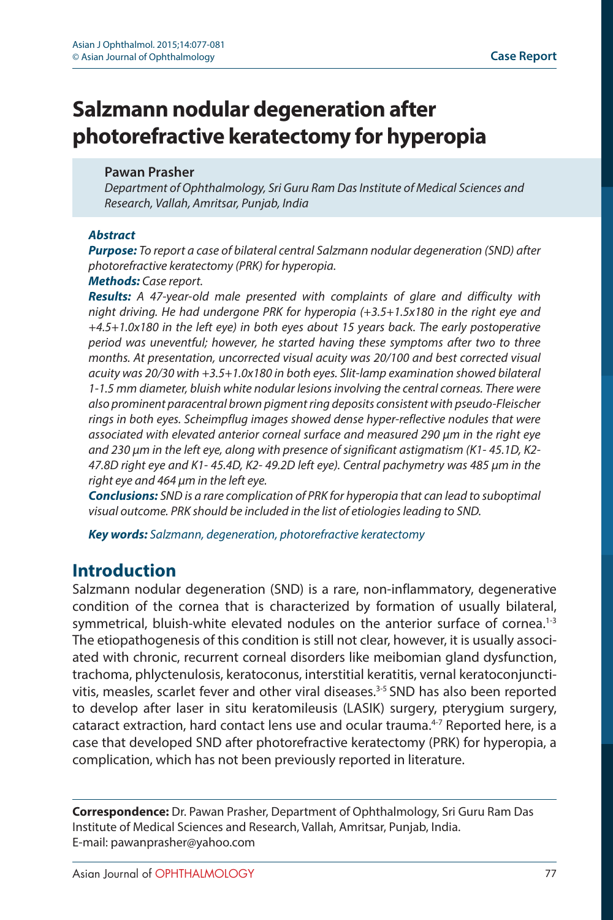# **Salzmann nodular degeneration after photorefractive keratectomy for hyperopia**

### **Pawan Prasher**

*Department of Ophthalmology, Sri Guru Ram Das Institute of Medical Sciences and Research, Vallah, Amritsar, Punjab, India*

#### *Abstract*

*Purpose: To report a case of bilateral central Salzmann nodular degeneration (SND) after photorefractive keratectomy (PRK) for hyperopia.*

#### *Methods: Case report.*

*Results: A 47-year-old male presented with complaints of glare and difficulty with night driving. He had undergone PRK for hyperopia (+3.5+1.5x180 in the right eye and +4.5+1.0x180 in the left eye) in both eyes about 15 years back. The early postoperative period was uneventful; however, he started having these symptoms after two to three months. At presentation, uncorrected visual acuity was 20/100 and best corrected visual acuity was 20/30 with +3.5+1.0x180 in both eyes. Slit-lamp examination showed bilateral 1-1.5 mm diameter, bluish white nodular lesions involving the central corneas. There were also prominent paracentral brown pigment ring deposits consistent with pseudo-Fleischer rings in both eyes. Scheimpflug images showed dense hyper-reflective nodules that were associated with elevated anterior corneal surface and measured 290 μm in the right eye and 230 μm in the left eye, along with presence of significant astigmatism (K1- 45.1D, K2- 47.8D right eye and K1- 45.4D, K2- 49.2D left eye). Central pachymetry was 485 μm in the right eye and 464 μm in the left eye.*

*Conclusions: SND is a rare complication of PRK for hyperopia that can lead to suboptimal visual outcome. PRK should be included in the list of etiologies leading to SND.*

*Key words: Salzmann, degeneration, photorefractive keratectomy*

### **Introduction**

Salzmann nodular degeneration (SND) is a rare, non-inflammatory, degenerative condition of the cornea that is characterized by formation of usually bilateral, symmetrical, bluish-white elevated nodules on the anterior surface of cornea.<sup>1-3</sup> The etiopathogenesis of this condition is still not clear, however, it is usually associated with chronic, recurrent corneal disorders like meibomian gland dysfunction, trachoma, phlyctenulosis, keratoconus, interstitial keratitis, vernal keratoconjunctivitis, measles, scarlet fever and other viral diseases.<sup>3-5</sup> SND has also been reported to develop after laser in situ keratomileusis (LASIK) surgery, pterygium surgery, cataract extraction, hard contact lens use and ocular trauma.<sup>4-7</sup> Reported here, is a case that developed SND after photorefractive keratectomy (PRK) for hyperopia, a complication, which has not been previously reported in literature.

**Correspondence:** Dr. Pawan Prasher, Department of Ophthalmology, Sri Guru Ram Das Institute of Medical Sciences and Research, Vallah, Amritsar, Punjab, India. E-mail: pawanprasher@yahoo.com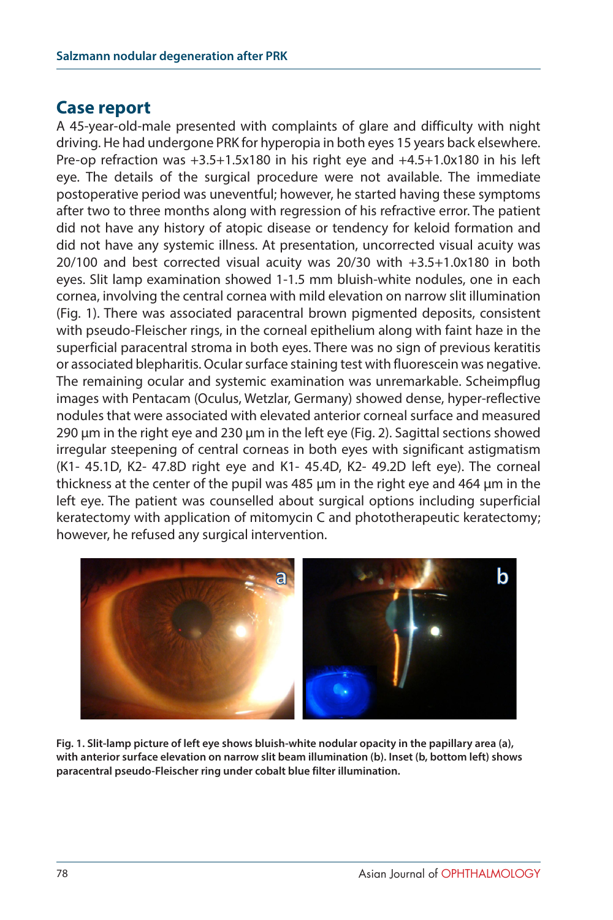### **Case report**

A 45-year-old-male presented with complaints of glare and difficulty with night driving. He had undergone PRK for hyperopia in both eyes 15 years back elsewhere. Pre-op refraction was +3.5+1.5x180 in his right eye and +4.5+1.0x180 in his left eye. The details of the surgical procedure were not available. The immediate postoperative period was uneventful; however, he started having these symptoms after two to three months along with regression of his refractive error. The patient did not have any history of atopic disease or tendency for keloid formation and did not have any systemic illness. At presentation, uncorrected visual acuity was 20/100 and best corrected visual acuity was 20/30 with +3.5+1.0x180 in both eyes. Slit lamp examination showed 1-1.5 mm bluish-white nodules, one in each cornea, involving the central cornea with mild elevation on narrow slit illumination (Fig. 1). There was associated paracentral brown pigmented deposits, consistent with pseudo-Fleischer rings, in the corneal epithelium along with faint haze in the superficial paracentral stroma in both eyes. There was no sign of previous keratitis or associated blepharitis. Ocular surface staining test with fluorescein was negative. The remaining ocular and systemic examination was unremarkable. Scheimpflug images with Pentacam (Oculus, Wetzlar, Germany) showed dense, hyper-reflective nodules that were associated with elevated anterior corneal surface and measured 290 μm in the right eye and 230 μm in the left eye (Fig. 2). Sagittal sections showed irregular steepening of central corneas in both eyes with significant astigmatism (K1- 45.1D, K2- 47.8D right eye and K1- 45.4D, K2- 49.2D left eye). The corneal thickness at the center of the pupil was 485 μm in the right eye and 464 μm in the left eye. The patient was counselled about surgical options including superficial keratectomy with application of mitomycin C and phototherapeutic keratectomy; however, he refused any surgical intervention.



**Fig. 1. Slit-lamp picture of left eye shows bluish-white nodular opacity in the papillary area (a), with anterior surface elevation on narrow slit beam illumination (b). Inset (b, bottom left) shows paracentral pseudo-Fleischer ring under cobalt blue filter illumination.**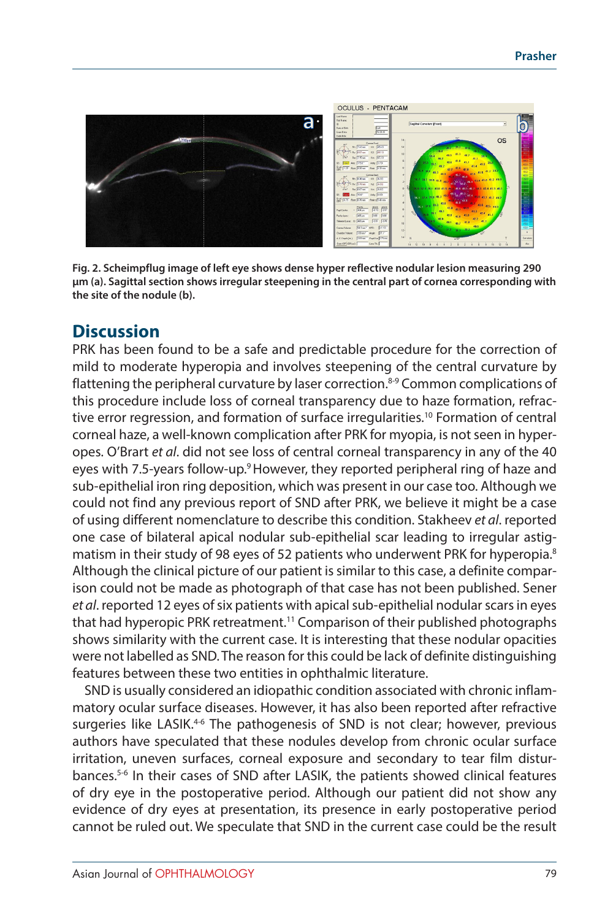

**Fig. 2. Scheimpflug image of left eye shows dense hyper reflective nodular lesion measuring 290 μm (a). Sagittal section shows irregular steepening in the central part of cornea corresponding with the site of the nodule (b).**

# **Discussion**

PRK has been found to be a safe and predictable procedure for the correction of mild to moderate hyperopia and involves steepening of the central curvature by flattening the peripheral curvature by laser correction.<sup>8-9</sup> Common complications of this procedure include loss of corneal transparency due to haze formation, refractive error regression, and formation of surface irregularities.<sup>10</sup> Formation of central corneal haze, a well-known complication after PRK for myopia, is not seen in hyperopes. O'Brart *et al*. did not see loss of central corneal transparency in any of the 40 eyes with 7.5-years follow-up.<sup>9</sup> However, they reported peripheral ring of haze and sub-epithelial iron ring deposition, which was present in our case too. Although we could not find any previous report of SND after PRK, we believe it might be a case of using different nomenclature to describe this condition. Stakheev *et al*. reported one case of bilateral apical nodular sub-epithelial scar leading to irregular astigmatism in their study of 98 eyes of 52 patients who underwent PRK for hyperopia.<sup>8</sup> Although the clinical picture of our patient is similar to this case, a definite comparison could not be made as photograph of that case has not been published. Sener *et al*. reported 12 eyes of six patients with apical sub-epithelial nodular scars in eyes that had hyperopic PRK retreatment.<sup>11</sup> Comparison of their published photographs shows similarity with the current case. It is interesting that these nodular opacities were not labelled as SND. The reason for this could be lack of definite distinguishing features between these two entities in ophthalmic literature.

SND is usually considered an idiopathic condition associated with chronic inflammatory ocular surface diseases. However, it has also been reported after refractive surgeries like LASIK.<sup>46</sup> The pathogenesis of SND is not clear; however, previous authors have speculated that these nodules develop from chronic ocular surface irritation, uneven surfaces, corneal exposure and secondary to tear film disturbances.5-6 In their cases of SND after LASIK, the patients showed clinical features of dry eye in the postoperative period. Although our patient did not show any evidence of dry eyes at presentation, its presence in early postoperative period cannot be ruled out. We speculate that SND in the current case could be the result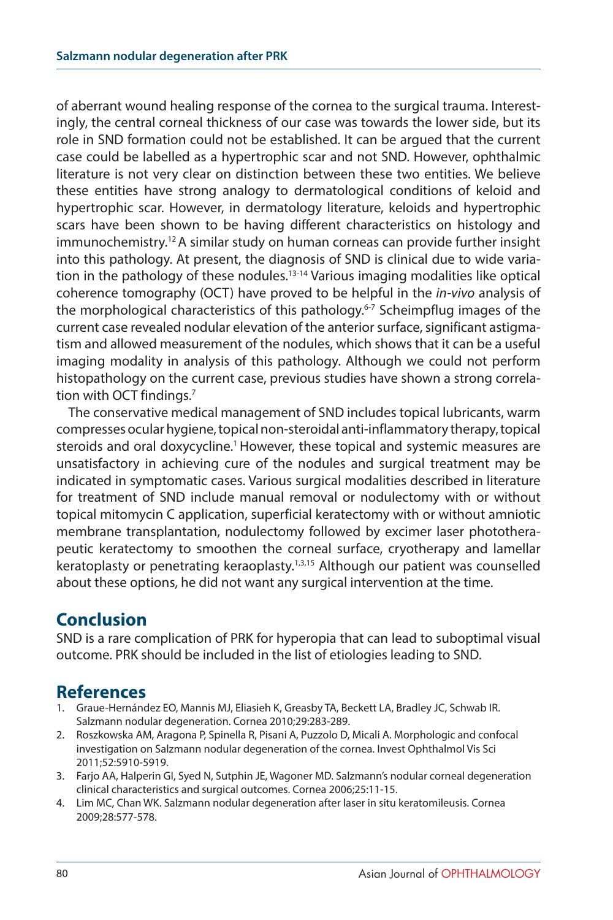of aberrant wound healing response of the cornea to the surgical trauma. Interestingly, the central corneal thickness of our case was towards the lower side, but its role in SND formation could not be established. It can be argued that the current case could be labelled as a hypertrophic scar and not SND. However, ophthalmic literature is not very clear on distinction between these two entities. We believe these entities have strong analogy to dermatological conditions of keloid and hypertrophic scar. However, in dermatology literature, keloids and hypertrophic scars have been shown to be having different characteristics on histology and immunochemistry.12 A similar study on human corneas can provide further insight into this pathology. At present, the diagnosis of SND is clinical due to wide variation in the pathology of these nodules.13-14 Various imaging modalities like optical coherence tomography (OCT) have proved to be helpful in the *in-vivo* analysis of the morphological characteristics of this pathology.<sup>6-7</sup> Scheimpflug images of the current case revealed nodular elevation of the anterior surface, significant astigmatism and allowed measurement of the nodules, which shows that it can be a useful imaging modality in analysis of this pathology. Although we could not perform histopathology on the current case, previous studies have shown a strong correlation with OCT findings.7

The conservative medical management of SND includes topical lubricants, warm compresses ocular hygiene, topical non-steroidal anti-inflammatory therapy, topical steroids and oral doxycycline.<sup>1</sup> However, these topical and systemic measures are unsatisfactory in achieving cure of the nodules and surgical treatment may be indicated in symptomatic cases. Various surgical modalities described in literature for treatment of SND include manual removal or nodulectomy with or without topical mitomycin C application, superficial keratectomy with or without amniotic membrane transplantation, nodulectomy followed by excimer laser phototherapeutic keratectomy to smoothen the corneal surface, cryotherapy and lamellar keratoplasty or penetrating keraoplasty.1,3,15 Although our patient was counselled about these options, he did not want any surgical intervention at the time.

# **Conclusion**

SND is a rare complication of PRK for hyperopia that can lead to suboptimal visual outcome. PRK should be included in the list of etiologies leading to SND.

# **References**

- 1. Graue-Hernández EO, Mannis MJ, Eliasieh K, Greasby TA, Beckett LA, Bradley JC, Schwab IR. Salzmann nodular degeneration. Cornea 2010;29:283-289.
- 2. Roszkowska AM, Aragona P, Spinella R, Pisani A, Puzzolo D, Micali A. Morphologic and confocal investigation on Salzmann nodular degeneration of the cornea. Invest Ophthalmol Vis Sci 2011;52:5910-5919.
- 3. Farjo AA, Halperin GI, Syed N, Sutphin JE, Wagoner MD. Salzmann's nodular corneal degeneration clinical characteristics and surgical outcomes. Cornea 2006;25:11-15.
- 4. Lim MC, Chan WK. Salzmann nodular degeneration after laser in situ keratomileusis. Cornea 2009;28:577-578.